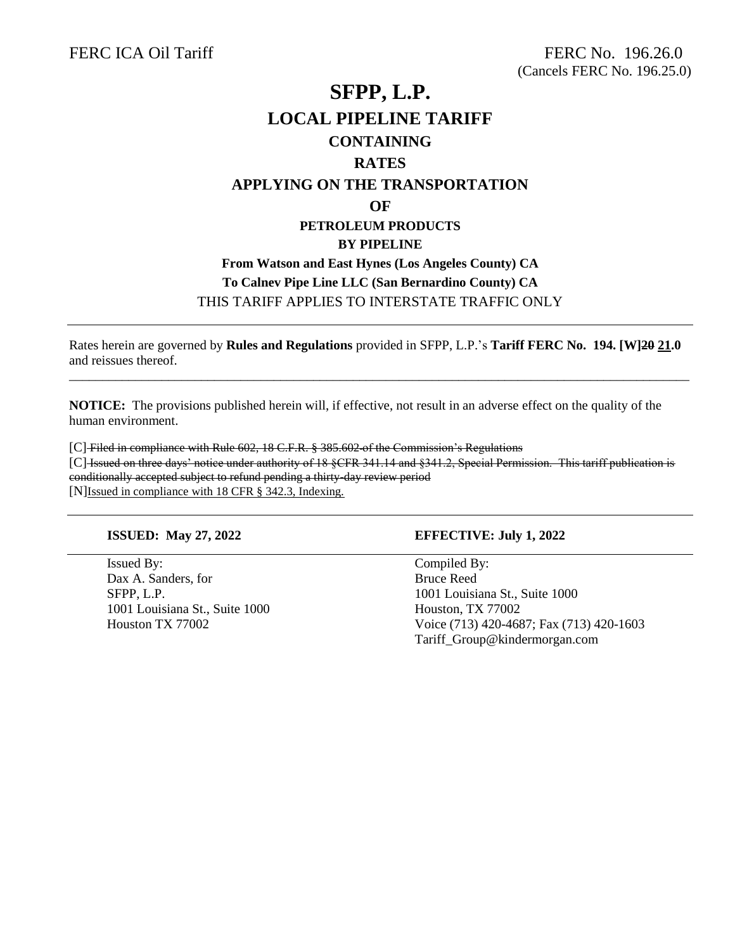## **SFPP, L.P. LOCAL PIPELINE TARIFF CONTAINING RATES APPLYING ON THE TRANSPORTATION OF PETROLEUM PRODUCTS BY PIPELINE From Watson and East Hynes (Los Angeles County) CA To Calnev Pipe Line LLC (San Bernardino County) CA** THIS TARIFF APPLIES TO INTERSTATE TRAFFIC ONLY

Rates herein are governed by **Rules and Regulations** provided in SFPP, L.P.'s **Tariff FERC No. 194. [W]20 21.0** and reissues thereof.

\_\_\_\_\_\_\_\_\_\_\_\_\_\_\_\_\_\_\_\_\_\_\_\_\_\_\_\_\_\_\_\_\_\_\_\_\_\_\_\_\_\_\_\_\_\_\_\_\_\_\_\_\_\_\_\_\_\_\_\_\_\_\_\_\_\_\_\_\_\_\_\_\_\_\_\_\_\_\_\_\_\_\_\_\_\_\_\_\_\_\_\_\_\_

**NOTICE:** The provisions published herein will, if effective, not result in an adverse effect on the quality of the human environment.

[C] Filed in compliance with Rule 602, 18 C.F.R. § 385.602 of the Commission's Regulations [C] Issued on three days' notice under authority of 18 §CFR 341.14 and §341.2, Special Permission. This tariff publication is conditionally accepted subject to refund pending a thirty-day review period [N]Issued in compliance with 18 CFR § 342.3, Indexing.

Issued By: Compiled By: Dax A. Sanders, for Bruce Reed 1001 Louisiana St., Suite 1000 Houston, TX 77002

## **ISSUED: May 27, 2022 EFFECTIVE: July 1, 2022**

SFPP, L.P. 1001 Louisiana St., Suite 1000 Houston TX 77002 Voice (713) 420-4687; Fax (713) 420-1603 Tariff\_Group@kindermorgan.com